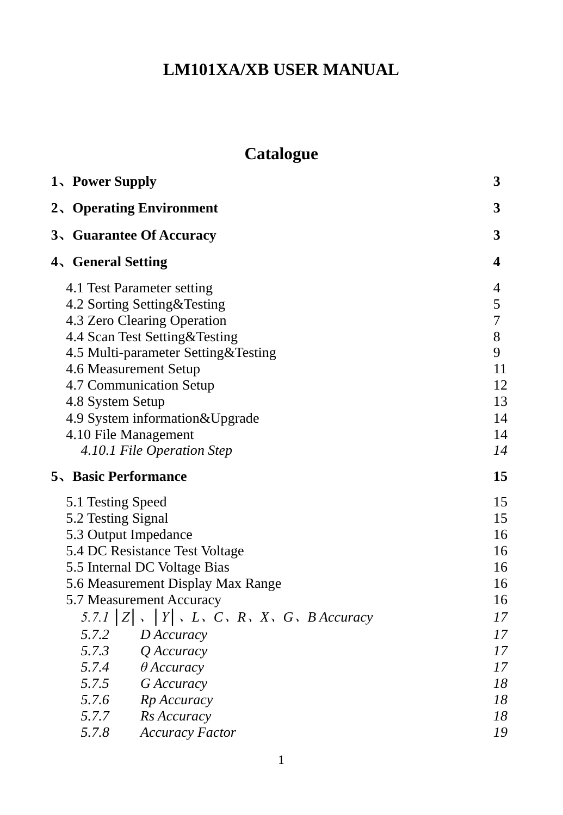# **LM101XA/XB USER MANUAL**

# **Catalogue**

| 1、Power Supply                                                           |                                                                                                                                                                                                                                                                                                                                      | 3                                                                                      |
|--------------------------------------------------------------------------|--------------------------------------------------------------------------------------------------------------------------------------------------------------------------------------------------------------------------------------------------------------------------------------------------------------------------------------|----------------------------------------------------------------------------------------|
|                                                                          | 2、Operating Environment                                                                                                                                                                                                                                                                                                              | 3                                                                                      |
|                                                                          | 3、Guarantee Of Accuracy                                                                                                                                                                                                                                                                                                              | 3                                                                                      |
| 4、General Setting                                                        |                                                                                                                                                                                                                                                                                                                                      | $\overline{\mathbf{4}}$                                                                |
| 4.8 System Setup<br>4.10 File Management                                 | 4.1 Test Parameter setting<br>4.2 Sorting Setting&Testing<br>4.3 Zero Clearing Operation<br>4.4 Scan Test Setting&Testing<br>4.5 Multi-parameter Setting&Testing<br>4.6 Measurement Setup<br>4.7 Communication Setup<br>4.9 System information&Upgrade<br>4.10.1 File Operation Step                                                 | 4<br>5<br>7<br>8<br>9<br>11<br>12<br>13<br>14<br>14<br>14                              |
| <b>5、Basic Performance</b>                                               |                                                                                                                                                                                                                                                                                                                                      | 15                                                                                     |
| 5.1 Testing Speed<br>5.2 Testing Signal<br>5.3 Output Impedance<br>5.7.8 | 5.4 DC Resistance Test Voltage<br>5.5 Internal DC Voltage Bias<br>5.6 Measurement Display Max Range<br>5.7 Measurement Accuracy<br>5.7.1 $ Z $ , $ Y $ , $L$ , $C$ , $R$ , $X$ , $G$ , $B$ Accuracy<br>5.7.2 D Accuracy<br>5.7.3 Q Accuracy<br>5.7.4 $\theta$ Accuracy<br>5.7.5 G Accuracy<br>5.7.6 Rp Accuracy<br>5.7.7 Rs Accuracy | 15<br>15<br>16<br>16<br>16<br>16<br>16<br>17<br>17<br>17<br>17<br>18<br>18<br>18<br>19 |
|                                                                          | <b>Accuracy Factor</b>                                                                                                                                                                                                                                                                                                               |                                                                                        |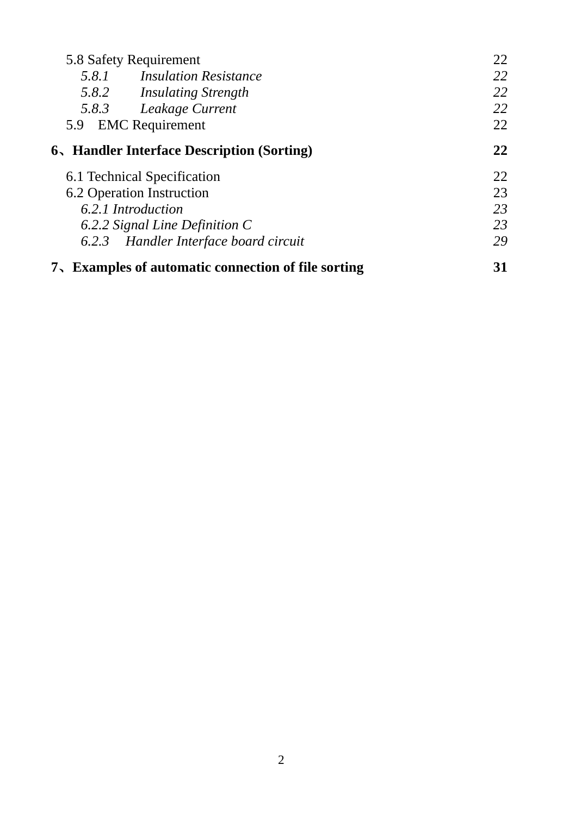| 5.8 Safety Requirement |                                                     | 22 |
|------------------------|-----------------------------------------------------|----|
|                        | 5.8.1 Insulation Resistance                         | 22 |
|                        | 5.8.2 Insulating Strength                           | 22 |
|                        | 5.8.3 Leakage Current                               | 22 |
| 5.9                    | <b>EMC</b> Requirement                              | 22 |
|                        | 6、Handler Interface Description (Sorting)           | 22 |
|                        | 6.1 Technical Specification                         | 22 |
|                        | 6.2 Operation Instruction                           | 23 |
| 6.2.1 Introduction     |                                                     | 23 |
|                        | 6.2.2 Signal Line Definition C                      | 23 |
|                        | 6.2.3 Handler Interface board circuit               | 29 |
|                        | 7. Examples of automatic connection of file sorting | 31 |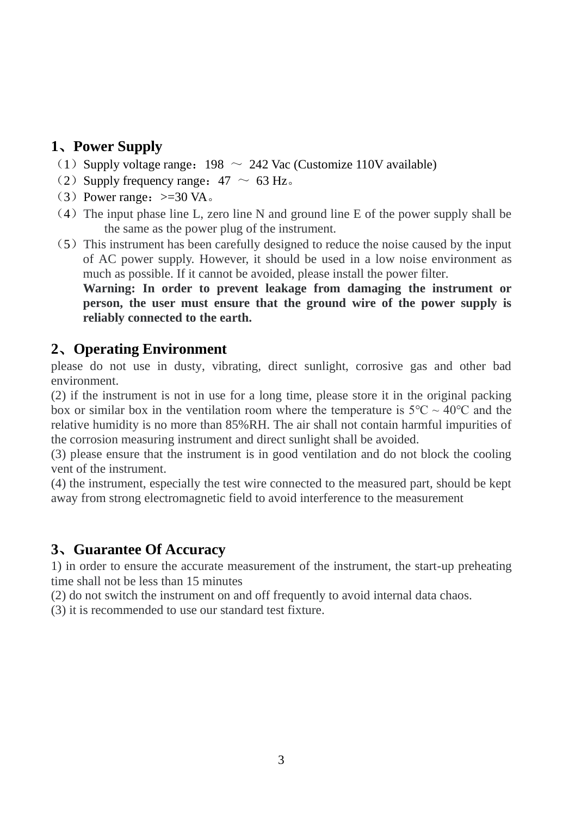## <span id="page-2-0"></span>**1**、**Power Supply**

- (1) Supply voltage range:  $198 \sim 242$  Vac (Customize 110V available)
- (2) Supply frequency range:  $47 \sim 63$  Hz.
- (3) Power range:  $>=30$  VA.
- $(4)$  The input phase line L, zero line N and ground line E of the power supply shall be the same as the power plug of the instrument.
- $(5)$  This instrument has been carefully designed to reduce the noise caused by the input of AC power supply. However, it should be used in a low noise environment as much as possible. If it cannot be avoided, please install the power filter.

**Warning: In order to prevent leakage from damaging the instrument or person, the user must ensure that the ground wire of the power supply is reliably connected to the earth.**

#### <span id="page-2-1"></span>**2**、**Operating Environment**

please do not use in dusty, vibrating, direct sunlight, corrosive gas and other bad environment.

(2) if the instrument is not in use for a long time, please store it in the original packing box or similar box in the ventilation room where the temperature is  $5^{\circ}C \sim 40^{\circ}C$  and the relative humidity is no more than 85%RH. The air shall not contain harmful impurities of the corrosion measuring instrument and direct sunlight shall be avoided.

(3) please ensure that the instrument is in good ventilation and do not block the cooling vent of the instrument.

<span id="page-2-2"></span>(4) the instrument, especially the test wire connected to the measured part, should be kept away from strong electromagnetic field to avoid interference to the measurement

### **3**、**Guarantee Of Accuracy**

1) in order to ensure the accurate measurement of the instrument, the start-up preheating time shall not be less than 15 minutes

(2) do not switch the instrument on and off frequently to avoid internal data chaos.

(3) it is recommended to use our standard test fixture.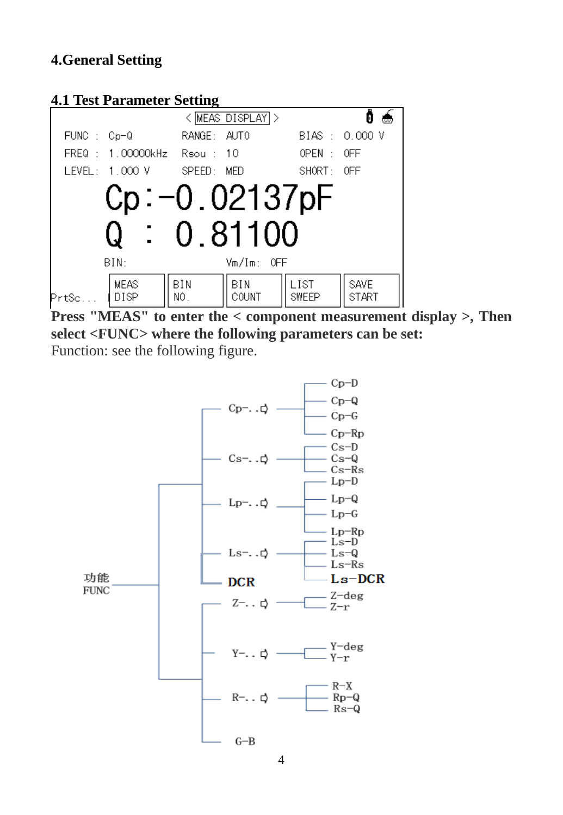## **4.General Setting**

#### <span id="page-3-0"></span>**4.1 Test Parameter Setting**



**Press "MEAS" to enter the < component measurement display >, Then select <FUNC> where the following parameters can be set:** Function: see the following figure.

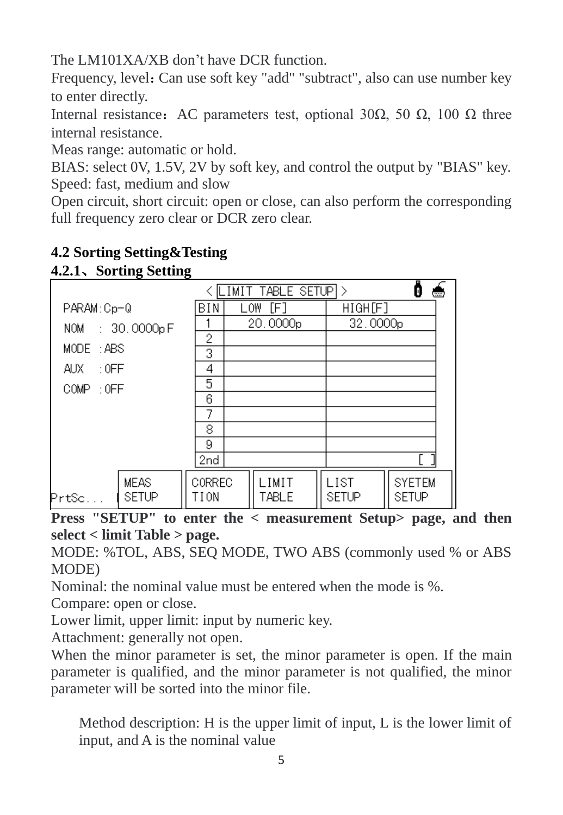The LM101XA/XB don't have DCR function.

Frequency, level: Can use soft key "add" "subtract", also can use number key to enter directly.

Internal resistance: AC parameters test, optional 30Ω, 50 Ω, 100 Ω three internal resistance.

Meas range: automatic or hold.

BIAS: select 0V, 1.5V, 2V by soft key, and control the output by "BIAS" key. Speed: fast, medium and slow

Open circuit, short circuit: open or close, can also perform the corresponding full frequency zero clear or DCR zero clear.

| $\cdots$                             |                       |     |                      |                      |                        |  |  |  |  |
|--------------------------------------|-----------------------|-----|----------------------|----------------------|------------------------|--|--|--|--|
| TABLE SETUP ><br>LIMIT               |                       |     |                      |                      |                        |  |  |  |  |
| PARAM:Cp-Q                           | BIN                   | LOW | [F]                  | HIGH[F]              |                        |  |  |  |  |
| NOM : 30.0000pF                      |                       |     | 20.0000 <sub>p</sub> | 32.0000 <sub>p</sub> |                        |  |  |  |  |
|                                      | 2                     |     |                      |                      |                        |  |  |  |  |
| MODE : ABS                           | 3                     |     |                      |                      |                        |  |  |  |  |
| $\pm 0$ FF<br>AUX.                   | 4                     |     |                      |                      |                        |  |  |  |  |
| $COMP = 0FF$                         | 5                     |     |                      |                      |                        |  |  |  |  |
|                                      | 6                     |     |                      |                      |                        |  |  |  |  |
|                                      | 7                     |     |                      |                      |                        |  |  |  |  |
|                                      | 8                     |     |                      |                      |                        |  |  |  |  |
|                                      | 9                     |     |                      |                      |                        |  |  |  |  |
|                                      | 2nd                   |     |                      |                      |                        |  |  |  |  |
| <b>MEAS</b><br><b>SETUP</b><br>Prtsc | <b>CORREC</b><br>TION |     | LIMIT<br>TABLE       | LIST<br>SETUP        | <b>SYETEM</b><br>SETUP |  |  |  |  |
|                                      |                       |     |                      |                      |                        |  |  |  |  |

## <span id="page-4-0"></span>**4.2 Sorting Setting&Testing**

**4.2.1**、**Sorting Setting**

**Press "SETUP" to enter the < measurement Setup> page, and then select < limit Table > page.**

MODE: %TOL, ABS, SEQ MODE, TWO ABS (commonly used % or ABS MODE)

Nominal: the nominal value must be entered when the mode is %.

Compare: open or close.

Lower limit, upper limit: input by numeric key.

Attachment: generally not open.

When the minor parameter is set, the minor parameter is open. If the main parameter is qualified, and the minor parameter is not qualified, the minor parameter will be sorted into the minor file.

Method description: H is the upper limit of input, L is the lower limit of input, and A is the nominal value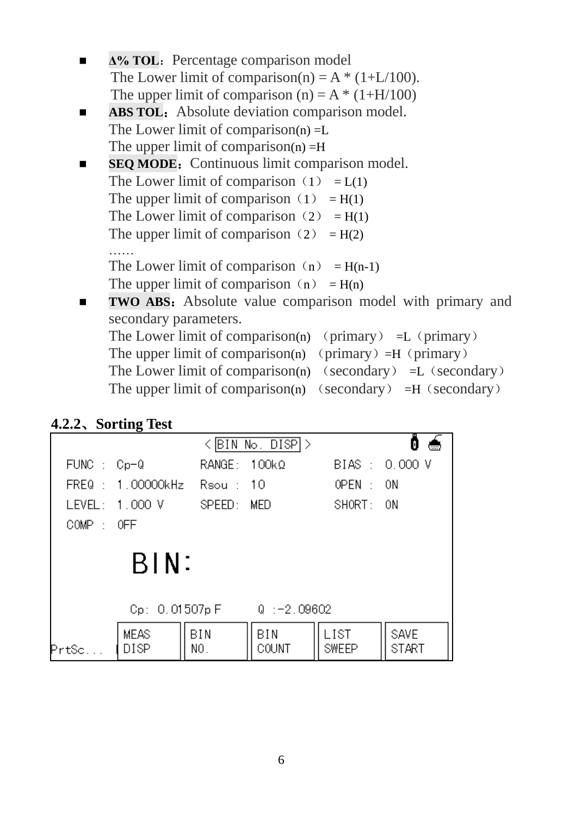| $\Delta\%$ TOL: Percentage comparison model          |
|------------------------------------------------------|
| The Lower limit of comparison(n) = $A * (1+L/100)$ . |
| The upper limit of comparison (n) = $A * (1+H/100)$  |
|                                                      |

- ABS TOL: Absolute deviation comparison model. The Lower limit of comparison $(n) = L$ The upper limit of comparison $(n) = H$
- **SEQ MODE:** Continuous limit comparison model. The Lower limit of comparison  $(1) = L(1)$ The upper limit of comparison  $(1) = H(1)$ The Lower limit of comparison (2) =  $H(1)$ The upper limit of comparison (2) =  $H(2)$ ……

The Lower limit of comparison  $(n) = H(n-1)$ The upper limit of comparison  $(n) = H(n)$ 

■ **TWO ABS:** Absolute value comparison model with primary and secondary parameters. The Lower limit of comparison(n) (primary)  $=L$  (primary) The upper limit of comparison(n) (primary) =H (primary) The Lower limit of comparison(n) (secondary)  $=$ L (secondary) The upper limit of comparison(n) (secondary)  $=$ H (secondary)

## **4.2.2**、**Sorting Test**

| $\langle$ BIN No. DISP $ $ > |                                             |                     |              |               |                             |  |  |  |  |  |  |
|------------------------------|---------------------------------------------|---------------------|--------------|---------------|-----------------------------|--|--|--|--|--|--|
| $FUNC : Cp=Q$                |                                             | $RANGE: 100k\Omega$ |              |               | BIAS: 0.000 V               |  |  |  |  |  |  |
|                              | FREQ: 1.00000kHz Rsou: 10                   |                     |              | OPEN : ON     |                             |  |  |  |  |  |  |
|                              | LEVEL: 1.000 V                              | SPEED: MED          |              | SHORT: ON     |                             |  |  |  |  |  |  |
| $COMP$ : OFF                 |                                             |                     |              |               |                             |  |  |  |  |  |  |
|                              | BIN:<br>Cp: 0.01507p F<br>$Q^-$ : -2, 09602 |                     |              |               |                             |  |  |  |  |  |  |
| PrtSc.                       | <b>MEAS</b><br>DISP                         | BIN<br>NO.          | BIN<br>COUNT | LIST<br>SWEEP | <b>SAVE</b><br><b>START</b> |  |  |  |  |  |  |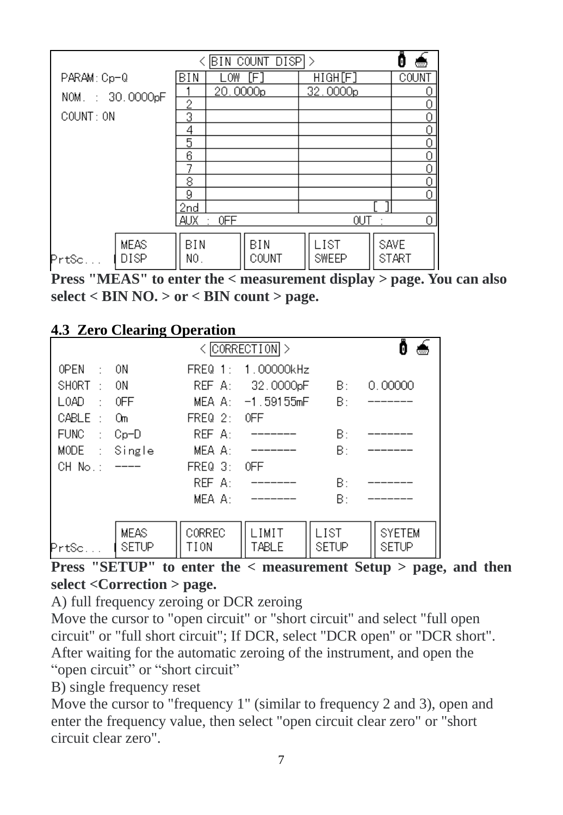|                 | BIN COUNT DISPI><br><b></b> |            |          |              |  |                      |         |              |  |  |
|-----------------|-----------------------------|------------|----------|--------------|--|----------------------|---------|--------------|--|--|
| PARAM: Cp-Q     |                             | BIN        | .OW      | [F]          |  | HIGH[F]              |         | COUNT        |  |  |
| NOM.: 30.0000pF |                             |            | 20.0000p |              |  | 32.0000p             |         |              |  |  |
|                 |                             | 2          |          |              |  |                      |         | Ω            |  |  |
| COUNT: ON       |                             | 3          |          |              |  |                      |         |              |  |  |
|                 |                             | 4          |          |              |  |                      |         |              |  |  |
|                 |                             | 5          |          |              |  |                      |         | 0            |  |  |
|                 |                             | 6          |          |              |  |                      |         |              |  |  |
|                 |                             |            |          |              |  |                      |         | 0            |  |  |
|                 |                             | 8          |          |              |  |                      |         | 0            |  |  |
|                 |                             | 9          |          |              |  |                      |         | 0            |  |  |
|                 |                             | 2nd        |          |              |  |                      |         |              |  |  |
|                 |                             | AUX        | 0FF<br>٠ |              |  | OUT                  | $\cdot$ | 0            |  |  |
| Prtsc           | <b>MEAS</b><br>DISP         | BIN<br>NO. |          | BIN<br>COUNT |  | LIST<br><b>SWEEP</b> | SAVE    | <b>START</b> |  |  |

<span id="page-6-0"></span>**Press "MEAS" to enter the < measurement display > page. You can also select < BIN NO. > or < BIN count > page.**

## **4.3 Zero Clearing Operation**

|                            | $\langle$ CORRECTION $\rangle$ |             |                     |              |               |  |  |  |
|----------------------------|--------------------------------|-------------|---------------------|--------------|---------------|--|--|--|
| 0PEN<br>$\sim$             | 0N                             | $FREQ_1$ :  | 1.00000kHz          |              |               |  |  |  |
| SHORT<br>$\pm$             | 0N                             | REF A:      | 32.0000pF           | B:           | 0.00000       |  |  |  |
| $L$ $0$ AD<br>$\sim$       | 0FF                            |             | $MEA A: -1.59155mF$ | B:           |               |  |  |  |
| CABLE<br>$\mathcal{L}$     | 0m                             | $FREQ_2:$   | 0FF                 |              |               |  |  |  |
| <b>FUNC</b><br>$\sim 10^7$ | $Cp-D$                         | REF A:      |                     | B:           |               |  |  |  |
| MODE.<br>$\sim 10^7$       | Single                         | MEA A:      |                     | B:           |               |  |  |  |
| CH No.:                    |                                | $FREQ = 3:$ | 0FF                 |              |               |  |  |  |
|                            |                                | REF A:      |                     | B:           |               |  |  |  |
|                            |                                | MEA A:      |                     | B:           |               |  |  |  |
|                            |                                |             |                     |              |               |  |  |  |
|                            | <b>MEAS</b>                    | CORREC      | LIMIT               | LIST         | <b>SYETEM</b> |  |  |  |
| PrtSc                      | <b>SETUP</b>                   | TION        | TABLE               | <b>SETUP</b> | <b>SETUP</b>  |  |  |  |
|                            |                                |             |                     |              |               |  |  |  |

**Press "SETUP"** to enter the  $\lt$  measurement Setup  $\gt$  page, and then **select <Correction > page.**

<span id="page-6-1"></span>A) full frequency zeroing or DCR zeroing

Move the cursor to "open circuit" or "short circuit" and select "full open circuit" or "full short circuit"; If DCR, select "DCR open" or "DCR short". After waiting for the automatic zeroing of the instrument, and open the "open circuit" or "short circuit"

B) single frequency reset

Move the cursor to "frequency 1" (similar to frequency 2 and 3), open and enter the frequency value, then select "open circuit clear zero" or "short circuit clear zero".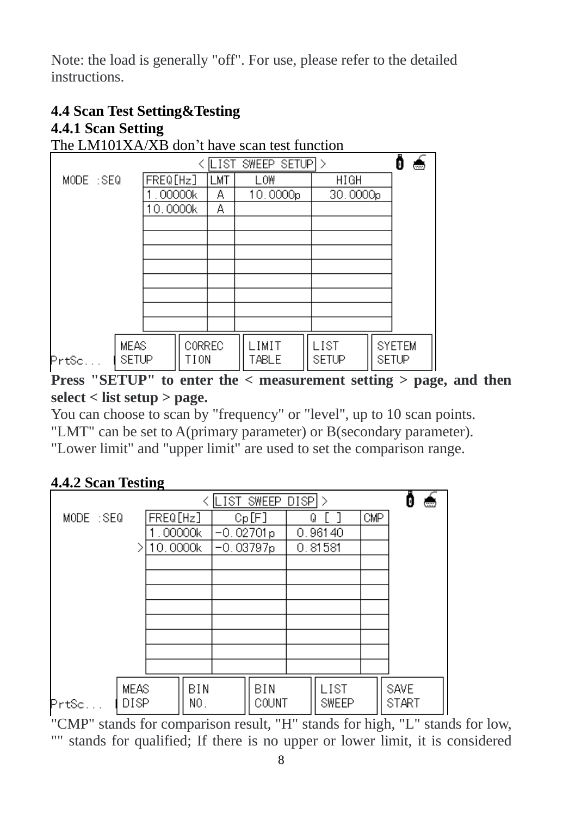Note: the load is generally "off". For use, please refer to the detailed **instructions** 

# **4.4 Scan Test Setting&Testing 4.4.1 Scan Setting**

The LM101XA/XB don't have scan test function

|            |                             |          |                |     | LIST SWEEP SETUPI> |                      | <b>Time</b>                   |
|------------|-----------------------------|----------|----------------|-----|--------------------|----------------------|-------------------------------|
| MODE : SEQ |                             | FREQ[Hz] |                | LMT | LOW                | <b>HIGH</b>          |                               |
|            |                             | .00000k  |                | Α   | 10.0000p           | 30.0000 <sub>p</sub> |                               |
|            |                             | 10.0000k |                | Α   |                    |                      |                               |
|            |                             |          |                |     |                    |                      |                               |
|            |                             |          |                |     |                    |                      |                               |
|            |                             |          |                |     |                    |                      |                               |
|            |                             |          |                |     |                    |                      |                               |
|            |                             |          |                |     |                    |                      |                               |
|            |                             |          |                |     |                    |                      |                               |
|            |                             |          |                |     |                    |                      |                               |
|            |                             |          |                |     |                    |                      |                               |
| PrtSc      | <b>MEAS</b><br><b>SETUP</b> |          | CORREC<br>TION |     | LIMIT<br>TABLE     | LIST<br><b>SETUP</b> | <b>SYETEM</b><br><b>SETUP</b> |

**Press "SETUP" to enter the < measurement setting > page, and then select < list setup > page.**

You can choose to scan by "frequency" or "level", up to 10 scan points. "LMT" can be set to A(primary parameter) or B(secondary parameter). "Lower limit" and "upper limit" are used to set the comparison range.

## **4.4.2 Scan Testing**

|           |                            | LIST SWEEP DISPI> |            |             |              |   |                      |     | <b>Company</b>              |  |
|-----------|----------------------------|-------------------|------------|-------------|--------------|---|----------------------|-----|-----------------------------|--|
| MODE :SEQ |                            | FREQ[Hz]          |            |             | Cp[F]        | O |                      | CMP |                             |  |
|           |                            | .00000k           |            | $-0.02701p$ |              |   | 0.96140              |     |                             |  |
|           |                            | 10.0000k          |            | $-0.03797p$ |              |   | 0.81581              |     |                             |  |
|           |                            |                   |            |             |              |   |                      |     |                             |  |
|           |                            |                   |            |             |              |   |                      |     |                             |  |
|           |                            |                   |            |             |              |   |                      |     |                             |  |
|           |                            |                   |            |             |              |   |                      |     |                             |  |
|           |                            |                   |            |             |              |   |                      |     |                             |  |
|           |                            |                   |            |             |              |   |                      |     |                             |  |
|           |                            |                   |            |             |              |   |                      |     |                             |  |
|           |                            |                   |            |             |              |   |                      |     |                             |  |
| Prtsc     | <b>MEAS</b><br><b>DISP</b> |                   | BIN<br>NO. |             | BIN<br>COUNT |   | LIST<br><b>SWEEP</b> |     | <b>SAVE</b><br><b>START</b> |  |

"CMP" stands for comparison result, "H" stands for high, "L" stands for low, "" stands for qualified; If there is no upper or lower limit, it is considered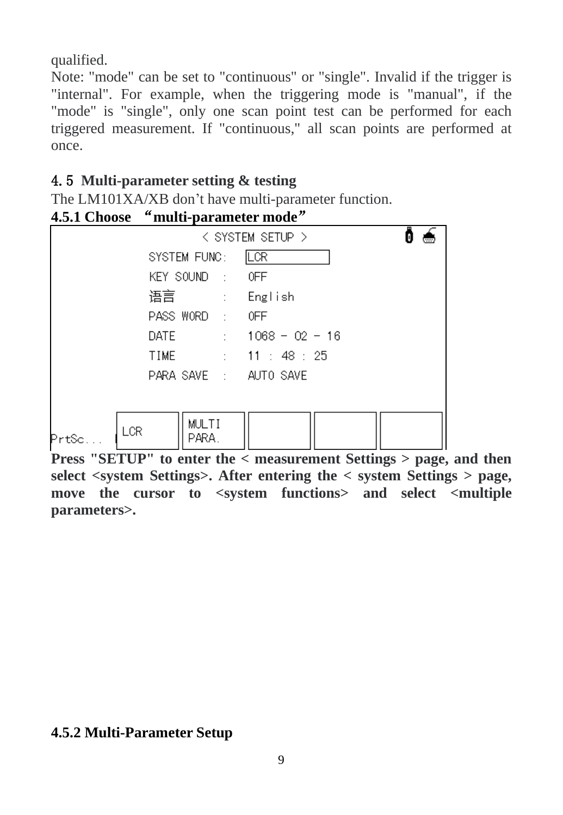qualified.

Note: "mode" can be set to "continuous" or "single". Invalid if the trigger is "internal". For example, when the triggering mode is "manual", if the "mode" is "single", only one scan point test can be performed for each triggered measurement. If "continuous," all scan points are performed at once.

## <span id="page-8-0"></span>4.5 **Multi-parameter setting & testing**

The LM101XA/XB don't have multi-parameter function.



**Press "SETUP" to enter the < measurement Settings > page, and then select <system Settings>. After entering the < system Settings > page, move the cursor to <system functions> and select <multiple parameters>.**

### **4.5.2 Multi-Parameter Setup**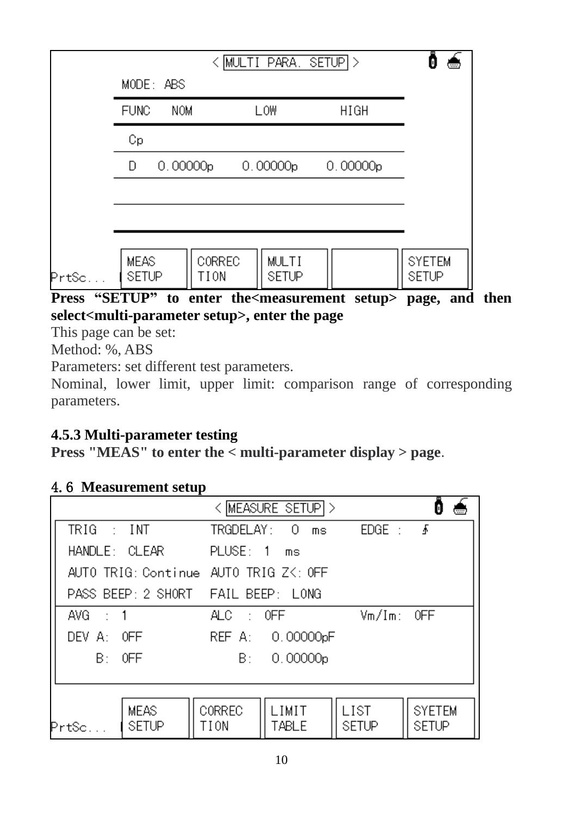|       |                             | tem e          |                |          |                               |
|-------|-----------------------------|----------------|----------------|----------|-------------------------------|
|       | MODE: ABS                   |                |                |          |                               |
|       | <b>FUNC</b><br><b>NOM</b>   |                | LOW            | HIGH     |                               |
|       | Сp                          |                |                |          |                               |
|       | 0.00000p<br>D               |                | 0.00000p       | 0.00000p |                               |
|       |                             |                |                |          |                               |
|       |                             |                |                |          |                               |
|       |                             |                |                |          |                               |
| PrtSc | <b>MEAS</b><br><b>SETUP</b> | CORREC<br>TION | MULTI<br>SETUP |          | <b>SYETEM</b><br><b>SETUP</b> |

## **Press "SETUP" to enter the<measurement setup> page, and then select<multi-parameter setup>, enter the page**

This page can be set:

Method: %, ABS

Parameters: set different test parameters.

Nominal, lower limit, upper limit: comparison range of corresponding parameters.

## <span id="page-9-0"></span>**4.5.3 Multi-parameter testing**

**Press "MEAS" to enter the < multi-parameter display > page**.

## 4.6 **Measurement setup**

|                        |                                       |                       | < MEASURE SETUPI > |                       |               |  |
|------------------------|---------------------------------------|-----------------------|--------------------|-----------------------|---------------|--|
| $TRIG \rightarrow INT$ |                                       | TRGDELAY: 0           | ms                 | $EDGE: \quad \bullet$ |               |  |
|                        | HANDLE: CLEAR PLUSE: 1 ms             |                       |                    |                       |               |  |
|                        | AUTO TRIG: Continue AUTO TRIG ZK: OFF |                       |                    |                       |               |  |
|                        | PASS BEEP: 2 SHORT FAIL BEEP: LONG    |                       |                    |                       |               |  |
| AVG $\pm$ 1            |                                       | ALC.                  | $\pm 0$ FF $\pm$   | $Vm/Im:$ OFF          |               |  |
| $DEF$ A: OFF           |                                       |                       | REF A: 0.00000pF   |                       |               |  |
| $B:$ OFF               |                                       |                       | B: 0.00000p        |                       |               |  |
|                        |                                       |                       |                    |                       |               |  |
|                        |                                       |                       | I IMIT             | l IST                 | <b>SYFTEM</b> |  |
| PrtSc.                 | <b>MEAS</b><br>SETUP                  | <b>CORREC</b><br>TION | TABLE              | SETUP                 | SETUP         |  |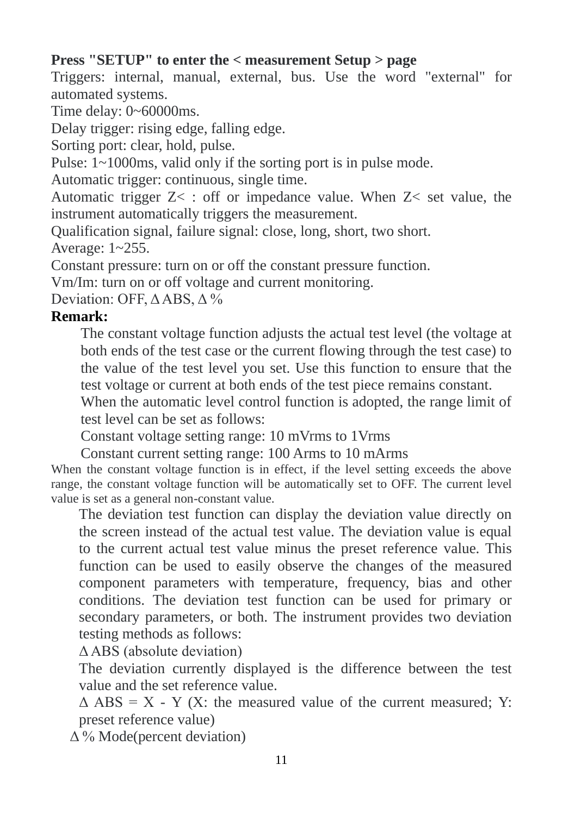## **Press "SETUP" to enter the < measurement Setup > page**

Triggers: internal, manual, external, bus. Use the word "external" for automated systems.

Time delay: 0~60000ms.

Delay trigger: rising edge, falling edge.

Sorting port: clear, hold, pulse.

Pulse: 1~1000ms, valid only if the sorting port is in pulse mode.

Automatic trigger: continuous, single time.

Automatic trigger Z< : off or impedance value. When Z< set value, the instrument automatically triggers the measurement.

Qualification signal, failure signal: close, long, short, two short.

Average: 1~255.

Constant pressure: turn on or off the constant pressure function.

Vm/Im: turn on or off voltage and current monitoring.

Deviation: OFF, Δ ABS, Δ %

#### **Remark:**

The constant voltage function adjusts the actual test level (the voltage at both ends of the test case or the current flowing through the test case) to the value of the test level you set. Use this function to ensure that the test voltage or current at both ends of the test piece remains constant.

When the automatic level control function is adopted, the range limit of test level can be set as follows:

Constant voltage setting range: 10 mVrms to 1Vrms

Constant current setting range: 100 Arms to 10 mArms

When the constant voltage function is in effect, if the level setting exceeds the above range, the constant voltage function will be automatically set to OFF. The current level value is set as a general non-constant value.

The deviation test function can display the deviation value directly on the screen instead of the actual test value. The deviation value is equal to the current actual test value minus the preset reference value. This function can be used to easily observe the changes of the measured component parameters with temperature, frequency, bias and other conditions. The deviation test function can be used for primary or secondary parameters, or both. The instrument provides two deviation testing methods as follows:

Δ ABS (absolute deviation)

The deviation currently displayed is the difference between the test value and the set reference value.

 $\triangle$  ABS = X - Y (X: the measured value of the current measured; Y: preset reference value)

<span id="page-10-0"></span>Δ % Mode(percent deviation)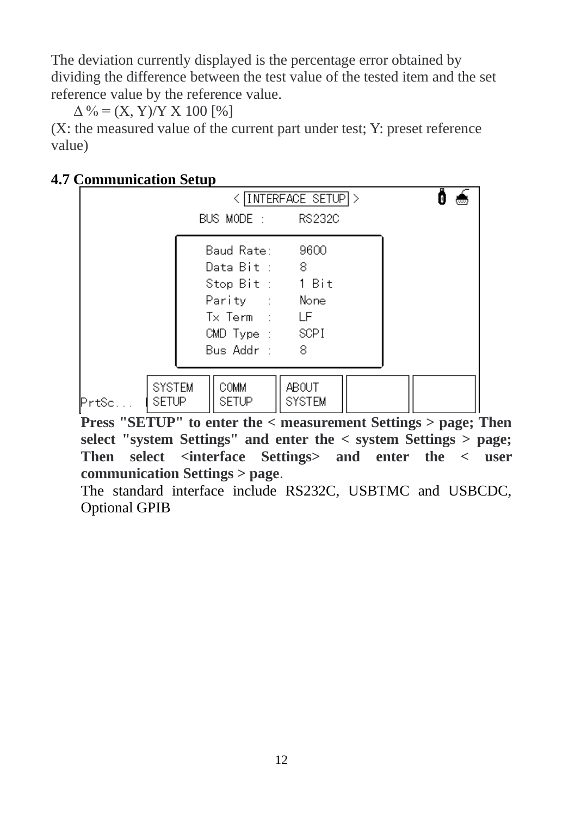The deviation currently displayed is the percentage error obtained by dividing the difference between the test value of the tested item and the set reference value by the reference value.

 $\Delta \% = (X, Y)/Y X 100 [$ %

(X: the measured value of the current part under test; Y: preset reference value)

| Сонниципсасион эссир |                           |                                                                                                                    |                        |                |  |
|----------------------|---------------------------|--------------------------------------------------------------------------------------------------------------------|------------------------|----------------|--|
|                      |                           | BUS MODE: RS232C                                                                                                   | < INTERFACE SETUP >    |                |  |
|                      |                           | Baud Rate:<br>Data Bit: 8<br>Stop Bit: 1 Bit<br>Parity : None<br>$Tx$ Term : LF<br>CMD Type : SCPI<br>Bus Addr : 8 | 9600                   |                |  |
| PrtSc                | <b>SYSTEM</b><br>I SETUP. | COMM.<br><b>SETUP</b><br>$\mathbf{H} \cap \mathbf{H}$                                                              | ABOUT<br><b>SYSTEM</b> | $\cdot$ $\sim$ |  |

## **4.7 Communication Setup**

**Press "SETUP" to enter the < measurement Settings > page; Then select "system Settings" and enter the < system Settings > page; Then select <interface Settings> and enter the < user communication Settings > page**.

The standard interface include RS232C, USBTMC and USBCDC, Optional GPIB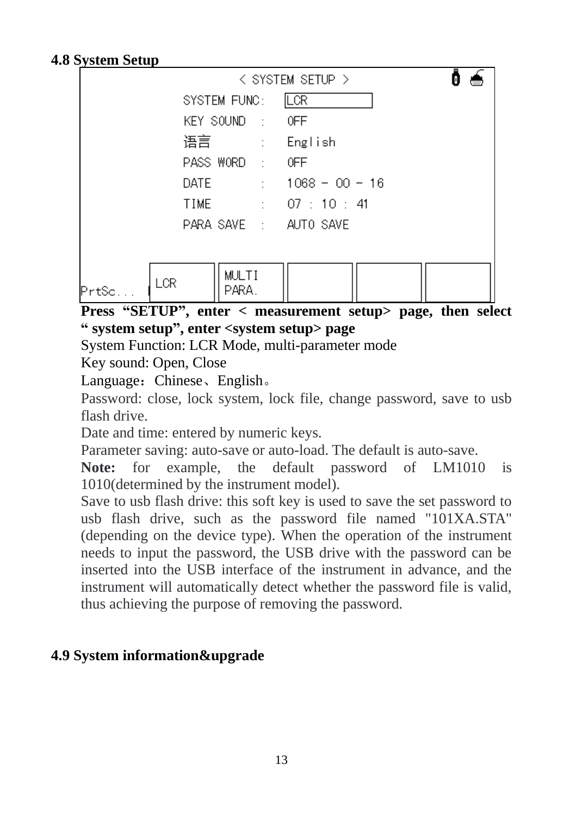#### <span id="page-12-0"></span>**4.8 System Setup**

|                       | < SYSTEM SETUP >          |
|-----------------------|---------------------------|
| SYSTEM FUNC:          | LCR                       |
| KEY SOUND : OFF       |                           |
| 语言 : English          |                           |
| PASS WORD : OFF       |                           |
|                       | DATE : $1068 - 00 - 16$   |
| TIME                  | $\therefore$ 07 : 10 : 41 |
| PARA SAVE : AUTO SAVE |                           |
|                       |                           |
| <b>MULTI</b><br>LCR   |                           |
| PARA.<br>PrtSc        |                           |

**Press "SETUP", enter < measurement setup> page, then select " system setup", enter <system setup> page**

System Function: LCR Mode, multi-parameter mode

Key sound: Open, Close

Language: Chinese、English。

Password: close, lock system, lock file, change password, save to usb flash drive.

Date and time: entered by numeric keys.

Parameter saving: auto-save or auto-load. The default is auto-save.

**Note:** for example, the default password of LM1010 is 1010(determined by the instrument model).

Save to usb flash drive: this soft key is used to save the set password to usb flash drive, such as the password file named "101XA.STA" (depending on the device type). When the operation of the instrument needs to input the password, the USB drive with the password can be inserted into the USB interface of the instrument in advance, and the instrument will automatically detect whether the password file is valid, thus achieving the purpose of removing the password.

## <span id="page-12-1"></span>**4.9 System information&upgrade**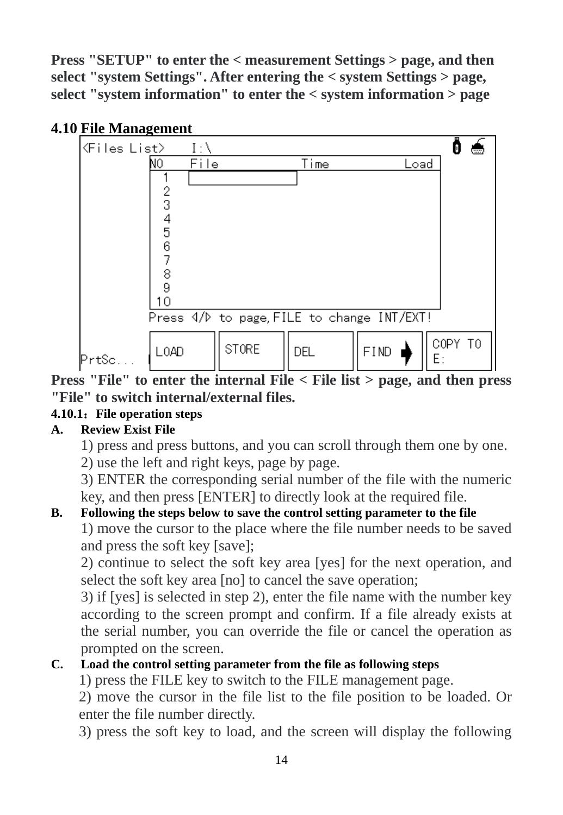<span id="page-13-0"></span>**Press "SETUP" to enter the < measurement Settings > page, and then select "system Settings". After entering the < system Settings > page, select "system information" to enter the < system information > page**



<span id="page-13-1"></span>**Press "File" to enter the internal File < File list > page, and then press "File" to switch internal/external files.**

### **4.10.1**:**File operation steps**

#### **A. Review Exist File**

- 1) press and press buttons, and you can scroll through them one by one.
- 2) use the left and right keys, page by page.

3) ENTER the corresponding serial number of the file with the numeric key, and then press [ENTER] to directly look at the required file.

### **B. Following the steps below to save the control setting parameter to the file**

1) move the cursor to the place where the file number needs to be saved and press the soft key [save];

2) continue to select the soft key area [yes] for the next operation, and select the soft key area [no] to cancel the save operation;

3) if [yes] is selected in step 2), enter the file name with the number key according to the screen prompt and confirm. If a file already exists at the serial number, you can override the file or cancel the operation as prompted on the screen.

### **C. Load the control setting parameter from the file as following steps**

1) press the FILE key to switch to the FILE management page.

2) move the cursor in the file list to the file position to be loaded. Or enter the file number directly.

3) press the soft key to load, and the screen will display the following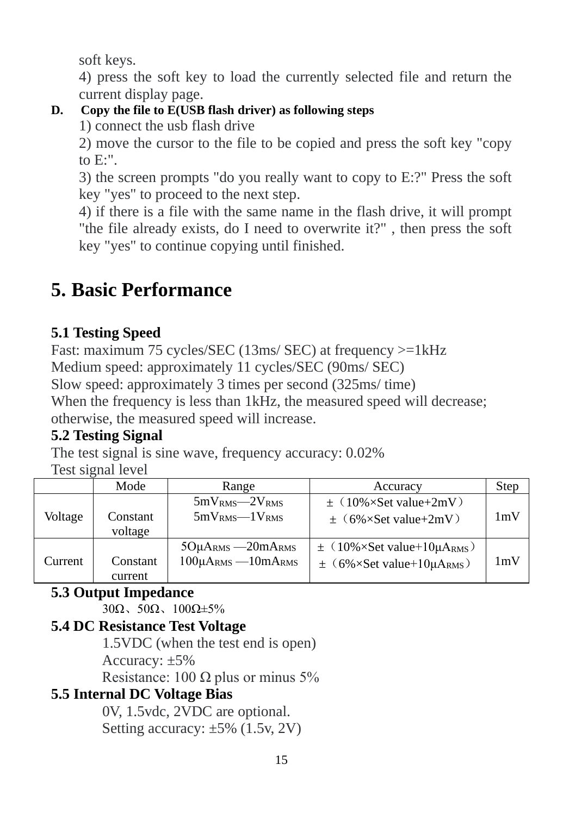soft keys.

4) press the soft key to load the currently selected file and return the current display page.

## **D. Copy the file to E(USB flash driver) as following steps**

1) connect the usb flash drive

2) move the cursor to the file to be copied and press the soft key "copy to  $E$ :".

3) the screen prompts "do you really want to copy to E:?" Press the soft key "yes" to proceed to the next step.

4) if there is a file with the same name in the flash drive, it will prompt "the file already exists, do I need to overwrite it?" , then press the soft key "yes" to continue copying until finished.

# **5. Basic Performance**

## <span id="page-14-0"></span>**5.1 Testing Speed**

<span id="page-14-1"></span>Fast: maximum 75 cycles/SEC (13ms/ SEC) at frequency  $>=1kHz$ Medium speed: approximately 11 cycles/SEC (90ms/ SEC) Slow speed: approximately 3 times per second (325ms/ time) When the frequency is less than 1kHz, the measured speed will decrease; otherwise, the measured speed will increase.

## **5.2 Testing Signal**

The test signal is sine wave, frequency accuracy: 0.02%

Test signal level

|         | Mode                | Range                                                 | Accuracy                                                                                | Step |
|---------|---------------------|-------------------------------------------------------|-----------------------------------------------------------------------------------------|------|
| Voltage | Constant<br>voltage | $5mVRMS - 2VRMS$<br>$5mVRMS$ VRMS                     | $\pm$ (10%×Set value+2mV)<br>$\pm$ (6%×Set value+2mV)                                   | 1mV  |
| Current | Constant<br>current | $5O\mu$ ARMS $-20m$ ARMS<br>$100\mu$ ARMS $-10m$ ARMS | $\pm$ (10%×Set value+10µA <sub>RMS</sub> )<br>$\pm$ (6%×Set value+10µA <sub>RMS</sub> ) | 1mV  |

### <span id="page-14-2"></span>**5.3 Output Impedance**

30Ω、50Ω、100Ω±5%

### <span id="page-14-3"></span>**5.4 DC Resistance Test Voltage**

1.5VDC (when the test end is open)

Accuracy: ±5%

Resistance: 100  $\Omega$  plus or minus 5%

### <span id="page-14-4"></span>**5.5 Internal DC Voltage Bias**

 0V, 1.5vdc, 2VDC are optional. Setting accuracy: ±5% (1.5v, 2V)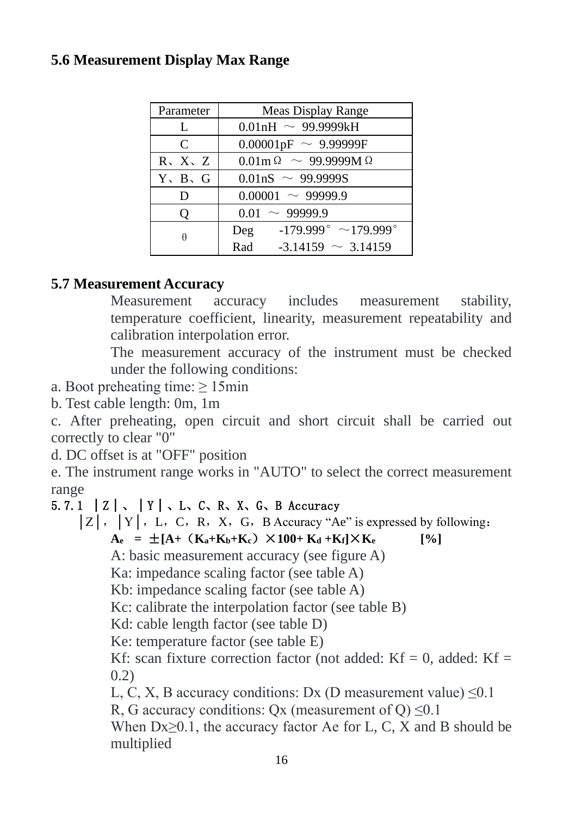## <span id="page-15-0"></span>**5.6 Measurement Display Max Range**

| Parameter                   | Meas Display Range                                      |
|-----------------------------|---------------------------------------------------------|
| L                           | $0.01nH \sim 99.9999kH$                                 |
| $\mathsf{C}$                | $0.00001pF \sim 9.99999F$                               |
| $R_2$ , $X_2$ , $Z_1$       | $0.01 \text{m} \Omega \sim 99.9999 \text{M} \Omega$     |
| $Y \setminus B \setminus G$ | $0.01$ nS ~ 99.9999S                                    |
| D                           | $0.00001 \sim 99999.9$                                  |
| Ő                           | $0.01 \sim 99999.9$                                     |
| θ                           | $-179.999^{\circ} \sim 179.999^{\circ}$<br>$\text{Deg}$ |
|                             | $-3.14159 \sim 3.14159$<br>Rad                          |

## <span id="page-15-1"></span>**5.7 Measurement Accuracy**

Measurement accuracy includes measurement stability, temperature coefficient, linearity, measurement repeatability and calibration interpolation error.

The measurement accuracy of the instrument must be checked under the following conditions:

- <span id="page-15-2"></span>a. Boot preheating time: ≥ 15min
- b. Test cable length: 0m, 1m

c. After preheating, open circuit and short circuit shall be carried out correctly to clear "0"

d. DC offset is at "OFF" position

e. The instrument range works in "AUTO" to select the correct measurement range

## 5.7.1  $|Z|$ ,  $|Y|$ ,  $L$ ,  $C$ ,  $R$ ,  $X$ ,  $G$ ,  $B$  Accuracy

 $|Z|$ ,  $|Y|$ , L, C, R, X, G, B Accuracy "Ae" is expressed by following:

 $A_e = \pm [A + (K_a + K_b + K_c) \times 100 + K_d + K_f] \times K_e$  [%]

A: basic measurement accuracy (see figure A)

Ka: impedance scaling factor (see table A)

Kb: impedance scaling factor (see table A)

Kc: calibrate the interpolation factor (see table B)

Kd: cable length factor (see table D)

Ke: temperature factor (see table E)

Kf: scan fixture correction factor (not added:  $Kf = 0$ , added:  $Kf =$ 0.2)

L, C, X, B accuracy conditions: Dx (D measurement value)  $\leq 0.1$ 

R, G accuracy conditions: Ox (measurement of  $Q$ )  $\leq 0.1$ 

When  $Dx \geq 0.1$ , the accuracy factor Ae for L, C, X and B should be multiplied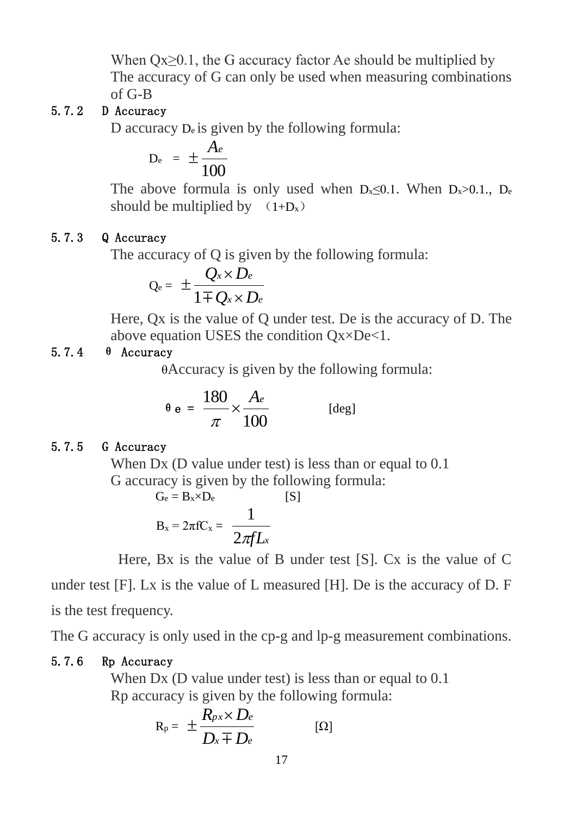When  $Ox \geq 0.1$ , the G accuracy factor Ae should be multiplied by The accuracy of G can only be used when measuring combinations of G-B

#### <span id="page-16-0"></span>5.7.2 D Accuracy

D accuracy  $D_e$  is given by the following formula:

$$
D_e = \pm \frac{A_e}{100}
$$

The above formula is only used when  $D_x \leq 0.1$ . When  $D_x > 0.1$ .,  $D_e$ should be multiplied by  $(1+D_x)$ 

#### <span id="page-16-1"></span>5.7.3 Q Accuracy

The accuracy of Q is given by the following formula:

$$
Q_{\rm e} = \pm \frac{Q_x \times D_e}{1 \mp Q_x \times D_e}
$$

Here, Qx is the value of Q under test. De is the accuracy of D. The above equation USES the condition Qx×De<1.

#### <span id="page-16-2"></span>5.7.4 θ Accuracy

θAccuracy is given by the following formula:

$$
\theta \mathbf{e} = \frac{180}{\pi} \times \frac{A_e}{100} \quad \text{[deg]}
$$

#### <span id="page-16-3"></span>5.7.5 G Accuracy

When Dx (D value under test) is less than or equal to 0.1 G accuracy is given by the following formula:

$$
G_e = B_x \times D_e
$$
 [S]  

$$
B_x = 2\pi f C_x = \frac{1}{2\pi f L_x}
$$

Here, Bx is the value of B under test [S]. Cx is the value of C under test [F]. Lx is the value of L measured [H]. De is the accuracy of D. F is the test frequency.

The G accuracy is only used in the cp-g and lp-g measurement combinations.

#### <span id="page-16-4"></span>5.7.6 Rp Accuracy

When Dx (D value under test) is less than or equal to 0.1 Rp accuracy is given by the following formula:

$$
R_p = \pm \frac{R_{px} \times D_e}{D_x \mp D_e} \qquad [\Omega]
$$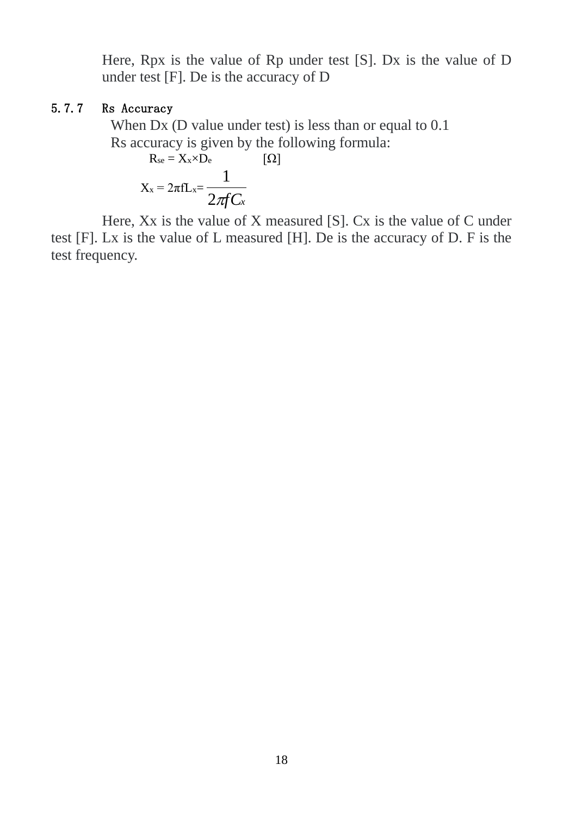Here, Rpx is the value of Rp under test [S]. Dx is the value of D under test [F]. De is the accuracy of D

#### <span id="page-17-0"></span>5.7.7 Rs Accuracy

When Dx (D value under test) is less than or equal to  $0.1$ Rs accuracy is given by the following formula:

 $R_{se} = X_x \times D_e$  [Ω]  $X_x = 2\pi fL_x = \frac{2\pi fC_x}{2\pi fC_x}$ 1

 Here, Xx is the value of X measured [S]. Cx is the value of C under test [F]. Lx is the value of L measured [H]. De is the accuracy of D. F is the test frequency.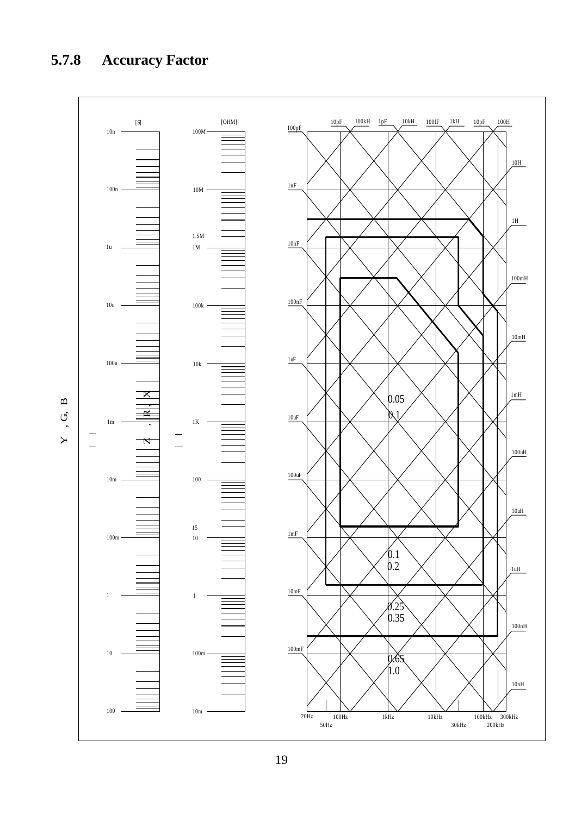# **5.7.8 Accuracy Factor**

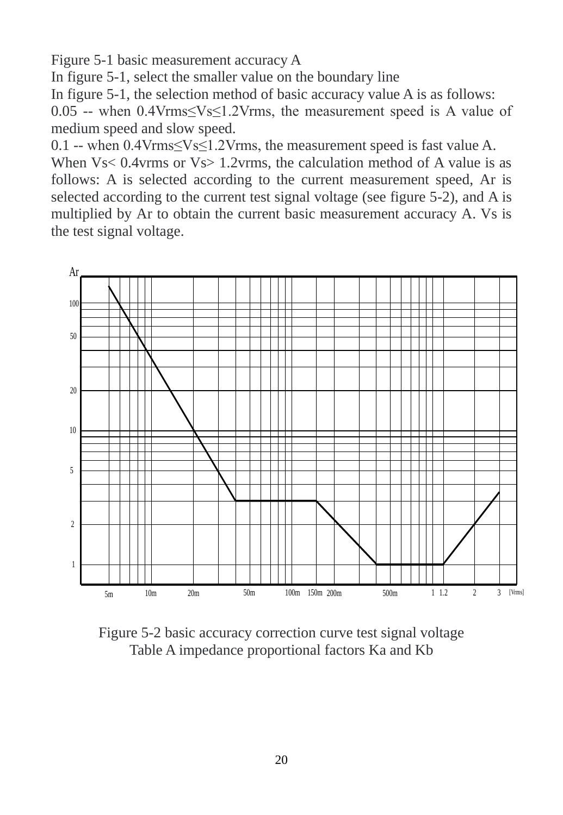Figure 5-1 basic measurement accuracy A

In figure 5-1, select the smaller value on the boundary line

In figure 5-1, the selection method of basic accuracy value A is as follows:

0.05 -- when 0.4Vrms≤Vs≤1.2Vrms, the measurement speed is A value of medium speed and slow speed.

0.1 -- when  $0.4 \text{Vrms} \leq V \leq 1.2 \text{Vrms}$ , the measurement speed is fast value A.

When  $V_s$  < 0.4 v at  $V_s$  = 1.2 v at  $V_s$  the calculation method of A value is as follows: A is selected according to the current measurement speed, Ar is selected according to the current test signal voltage (see figure 5-2), and A is multiplied by Ar to obtain the current basic measurement accuracy A. Vs is the test signal voltage.



Figure 5-2 basic accuracy correction curve test signal voltage Table A impedance proportional factors Ka and Kb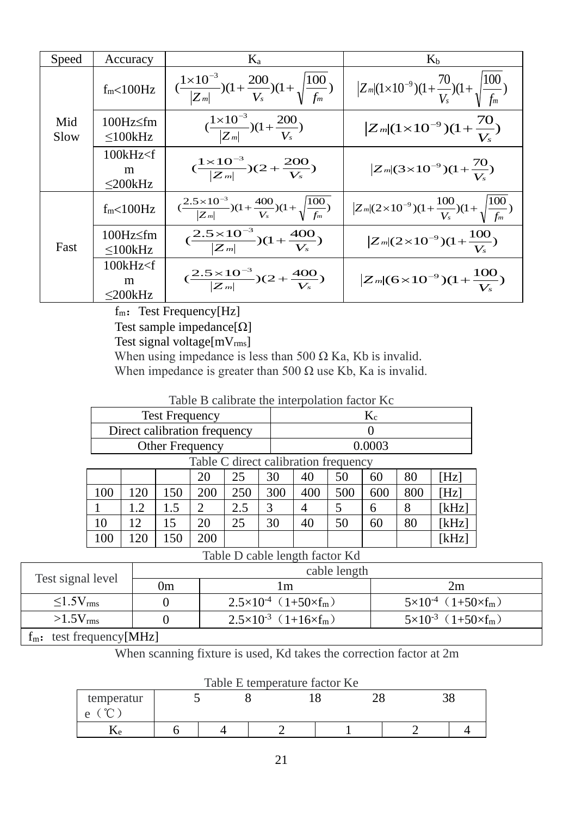| Speed       | Accuracy                                   | Ka                                                                                         | K <sub>b</sub>                                                       |
|-------------|--------------------------------------------|--------------------------------------------------------------------------------------------|----------------------------------------------------------------------|
|             | f <sub>m</sub> < 100 Hz                    | $\left(\frac{1\times10^{-3}}{ Z_m }\right)(1+\frac{200}{V_s})(1+\sqrt{\frac{100}{f_m}})$   | $Z_m[(1\times10^{-9})(1+\frac{70}{V_s})(1+\sqrt{\frac{100}{f_m}})]$  |
| Mid<br>Slow | $100Hz \leq fm$<br>$\leq 100$ kHz          | $\left(\frac{1\times10^{-3}}{ Z_m }\right)(1+\frac{200}{V_s})$                             | $ Z_m (1\times10^{-9})(1+\frac{70}{15})$                             |
|             | $100kHz \text{·}$ f<br>m<br>$<$ 200 $k$ Hz | $\frac{(1\times10^{-3})}{ Z_m }(2+\frac{200}{V_s})$                                        | $Z_m$ (3×10 <sup>-9</sup> )(1+ $\frac{70}{11}$ )                     |
|             | $f_m < 100 Hz$                             | $\left(\frac{2.5\times10^{-3}}{ Z_m }\right)(1+\frac{400}{V_s})(1+\sqrt{\frac{100}{f_m}})$ | $ Z_m (2\times10^{-9})(1+\frac{100}{V_s})(1+\sqrt{\frac{100}{f_m}})$ |
| Fast        | 100Hz≤fm<br>$\leq 100$ kHz                 | $\left(\frac{2.5\times10^{-3}}{ Z_m }\right)(1+\frac{400}{V_s})$                           | $ Z_m (2\times10^{-9})(1+\frac{100}{V})$                             |
|             | 100kHz < f<br>m<br>$<$ 200 $k$ Hz          | $\left(\frac{2.5\times10^{-3}}{ Z_m }\right)(2+\frac{400}{V_s})$                           | $Z_m[(6\times10^{-9})(1+\frac{100}{r})$                              |

 $f_m$ : Test Frequency[Hz]

Test sample impedance $[\Omega]$ 

Test signal voltage[mVrms]

When using impedance is less than 500  $\Omega$  Ka, Kb is invalid. When impedance is greater than 500  $\Omega$  use Kb, Ka is invalid.

Table B calibrate the interpolation factor Kc

|                                      | <b>Test Frequency</b>        |     |     |     |     |     |     | $K_c$  |     |       |
|--------------------------------------|------------------------------|-----|-----|-----|-----|-----|-----|--------|-----|-------|
|                                      | Direct calibration frequency |     |     |     |     |     |     |        |     |       |
| Other Frequency                      |                              |     |     |     |     |     |     | 0.0003 |     |       |
| Table C direct calibration frequency |                              |     |     |     |     |     |     |        |     |       |
|                                      |                              |     | 20  | 25  | 30  | 40  | 50  | 60     | 80  | [Hz]  |
| 100                                  | 120                          | 150 | 200 | 250 | 300 | 400 | 500 | 600    | 800 | [Hz]  |
|                                      | 1.2                          | 1.5 | 2   | 2.5 | 3   | 4   | 5   | 6      | 8   | [kHz] |
| 10                                   | 12.                          | 15  | 20  | 25  | 30  | 40  | 50  | 60     | 80  | [kHz] |
| 100                                  | 120                          | 150 | 200 |     |     |     |     |        |     | [kHz] |

Table D cable length factor Kd

|                            | cable length |                                         |                              |  |  |
|----------------------------|--------------|-----------------------------------------|------------------------------|--|--|
| Test signal level          | 0m           | l m                                     | 2m                           |  |  |
| $\leq 1.5V$ <sub>rms</sub> |              | $2.5 \times 10^{-4}$ (1+50×fm)          | $5\times10^{-4}$ (1+50×fm)   |  |  |
| $>1.5V$ <sub>rms</sub>     |              | $2.5 \times 10^{-3}$ (1+16 $\times$ fm) | $5 \times 10^{-3}$ (1+50×fm) |  |  |

 $f_m$ : test frequency[MHz]

When scanning fixture is used, Kd takes the correction factor at 2m

| Table E temperature factor Ke<br>temperatur |  |  |  |  |  |  |
|---------------------------------------------|--|--|--|--|--|--|
| е                                           |  |  |  |  |  |  |
| $\mathbf{r}$                                |  |  |  |  |  |  |

Table E temperature factor Ke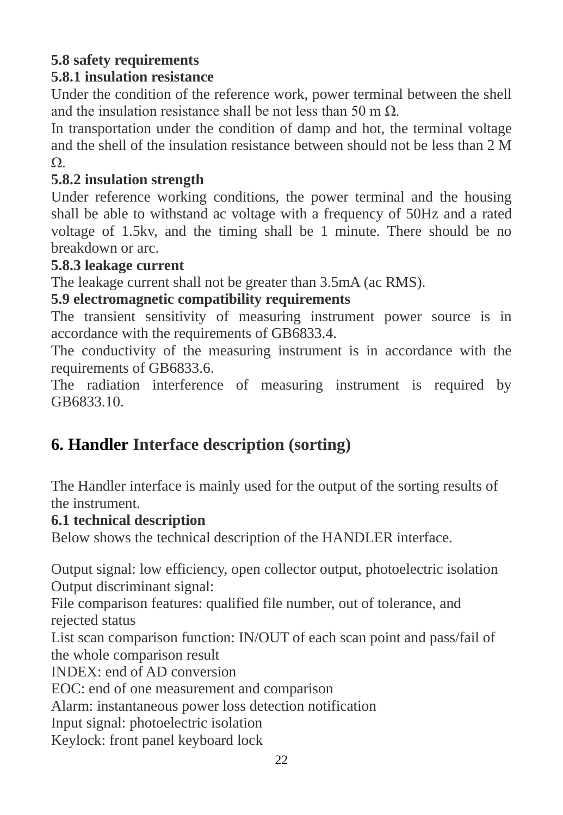## **5.8 safety requirements**

## **5.8.1 insulation resistance**

Under the condition of the reference work, power terminal between the shell and the insulation resistance shall be not less than 50 m Ω.

In transportation under the condition of damp and hot, the terminal voltage and the shell of the insulation resistance between should not be less than 2 M Ω.

## **5.8.2 insulation strength**

Under reference working conditions, the power terminal and the housing shall be able to withstand ac voltage with a frequency of 50Hz and a rated voltage of 1.5kv, and the timing shall be 1 minute. There should be no breakdown or arc.

### **5.8.3 leakage current**

The leakage current shall not be greater than 3.5mA (ac RMS).

### **5.9 electromagnetic compatibility requirements**

The transient sensitivity of measuring instrument power source is in accordance with the requirements of GB6833.4.

The conductivity of the measuring instrument is in accordance with the requirements of GB6833.6.

The radiation interference of measuring instrument is required by GB6833.10.

# <span id="page-21-0"></span>**6. Handler Interface description (sorting)**

<span id="page-21-1"></span>The Handler interface is mainly used for the output of the sorting results of the instrument.

### **6.1 technical description**

Below shows the technical description of the HANDLER interface.

<span id="page-21-2"></span>Output signal: low efficiency, open collector output, photoelectric isolation Output discriminant signal:

File comparison features: qualified file number, out of tolerance, and rejected status

List scan comparison function: IN/OUT of each scan point and pass/fail of the whole comparison result

INDEX: end of AD conversion

EOC: end of one measurement and comparison

Alarm: instantaneous power loss detection notification

Input signal: photoelectric isolation

Keylock: front panel keyboard lock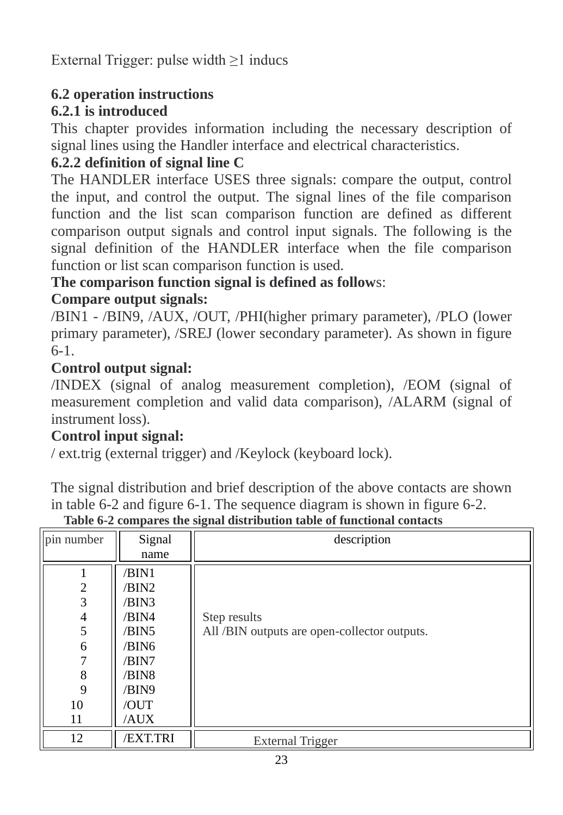External Trigger: pulse width ≥1 inducs

## **6.2 operation instructions**

## **6.2.1 is introduced**

This chapter provides information including the necessary description of signal lines using the Handler interface and electrical characteristics.

## **6.2.2 definition of signal line C**

The HANDLER interface USES three signals: compare the output, control the input, and control the output. The signal lines of the file comparison function and the list scan comparison function are defined as different comparison output signals and control input signals. The following is the signal definition of the HANDLER interface when the file comparison function or list scan comparison function is used.

## **The comparison function signal is defined as follow**s:

## **Compare output signals:**

/BIN1 - /BIN9, /AUX, /OUT, /PHI(higher primary parameter), /PLO (lower primary parameter), /SREJ (lower secondary parameter). As shown in figure 6-1.

## **Control output signal:**

/INDEX (signal of analog measurement completion), /EOM (signal of measurement completion and valid data comparison), /ALARM (signal of instrument loss).

## **Control input signal:**

/ ext.trig (external trigger) and /Keylock (keyboard lock).

The signal distribution and brief description of the above contacts are shown in table 6-2 and figure 6-1. The sequence diagram is shown in figure 6-2.

| pin number                                                    | Signal<br>name                                                                                | description                                                  |
|---------------------------------------------------------------|-----------------------------------------------------------------------------------------------|--------------------------------------------------------------|
| $\overline{2}$<br>3<br>4<br>5<br>6<br>7<br>8<br>9<br>10<br>11 | /BIN1<br>/BIN2<br>/BIN3<br>/BIN4<br>/BIN5<br>/BIN6<br>/BIN7<br>/BIN8<br>/BIN9<br>/OUT<br>AUX/ | Step results<br>All /BIN outputs are open-collector outputs. |
| 12                                                            | /EXT.TRI                                                                                      | <b>External Trigger</b>                                      |

**Table 6-2 compares the signal distribution table of functional contacts**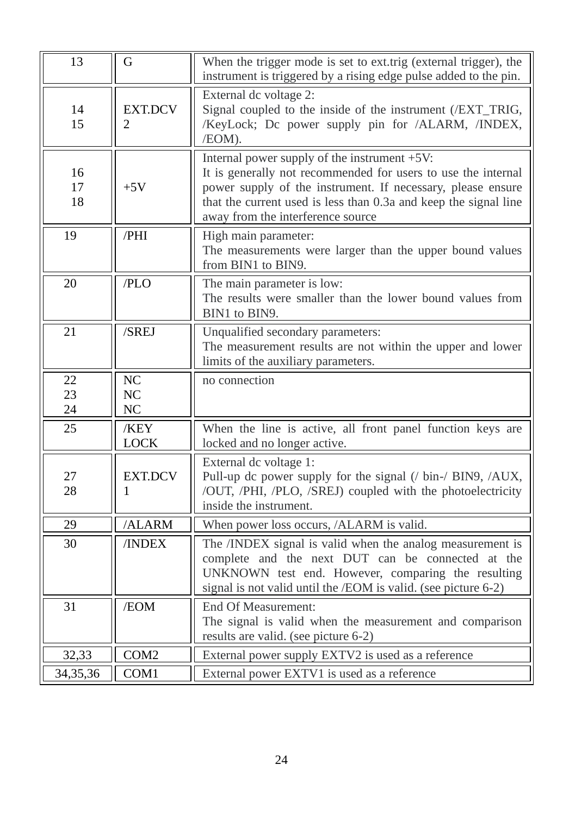| 13             | G                   | When the trigger mode is set to ext.trig (external trigger), the<br>instrument is triggered by a rising edge pulse added to the pin.                                                                                                                                                  |
|----------------|---------------------|---------------------------------------------------------------------------------------------------------------------------------------------------------------------------------------------------------------------------------------------------------------------------------------|
| 14<br>15       | <b>EXT.DCV</b><br>2 | External dc voltage 2:<br>Signal coupled to the inside of the instrument (/EXT_TRIG,<br>/KeyLock; Dc power supply pin for /ALARM, /INDEX,<br>/EOM).                                                                                                                                   |
| 16<br>17<br>18 | $+5V$               | Internal power supply of the instrument +5V:<br>It is generally not recommended for users to use the internal<br>power supply of the instrument. If necessary, please ensure<br>that the current used is less than 0.3a and keep the signal line<br>away from the interference source |
| 19             | /PHI                | High main parameter:<br>The measurements were larger than the upper bound values<br>from BIN1 to BIN9.                                                                                                                                                                                |
| 20             | /PLO                | The main parameter is low:<br>The results were smaller than the lower bound values from<br>BIN1 to BIN9.                                                                                                                                                                              |
| 21             | /SREJ               | Unqualified secondary parameters:<br>The measurement results are not within the upper and lower<br>limits of the auxiliary parameters.                                                                                                                                                |
| 22<br>23<br>24 | NC<br>NC<br>NC      | no connection                                                                                                                                                                                                                                                                         |
| 25             | /KEY<br><b>LOCK</b> | When the line is active, all front panel function keys are<br>locked and no longer active.                                                                                                                                                                                            |
| 27<br>28       | <b>EXT.DCV</b><br>1 | External dc voltage 1:<br>Pull-up dc power supply for the signal (/ bin-/ BIN9, /AUX,<br>/OUT, /PHI, /PLO, /SREJ) coupled with the photoelectricity<br>inside the instrument.                                                                                                         |
| 29             | /ALARM              | When power loss occurs, /ALARM is valid.                                                                                                                                                                                                                                              |
| 30             | <b>/INDEX</b>       | The /INDEX signal is valid when the analog measurement is<br>complete and the next DUT can be connected at the<br>UNKNOWN test end. However, comparing the resulting<br>signal is not valid until the /EOM is valid. (see picture 6-2)                                                |
| 31             | /EOM                | End Of Measurement:<br>The signal is valid when the measurement and comparison<br>results are valid. (see picture 6-2)                                                                                                                                                                |
| 32,33          | COM <sub>2</sub>    | External power supply EXTV2 is used as a reference                                                                                                                                                                                                                                    |
| 34,35,36       | COM1                | External power EXTV1 is used as a reference                                                                                                                                                                                                                                           |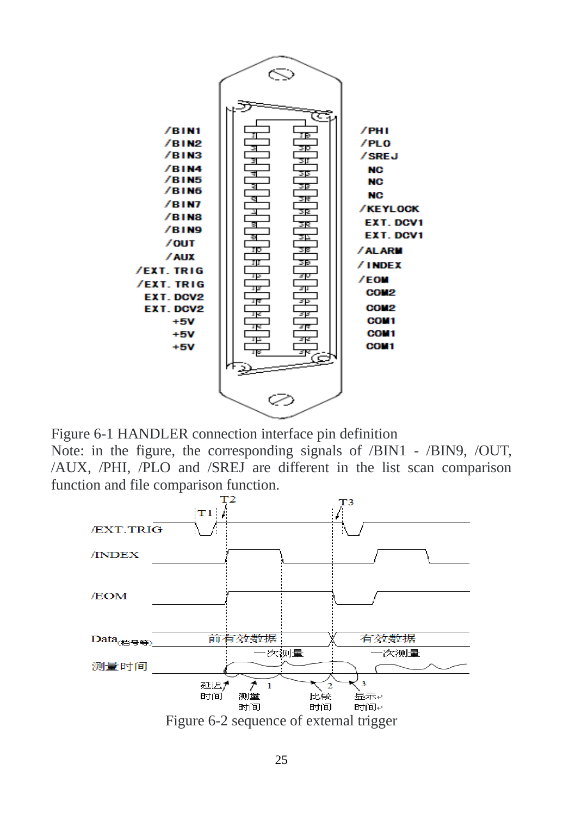

Figure 6-1 HANDLER connection interface pin definition Note: in the figure, the corresponding signals of /BIN1 - /BIN9, /OUT, /AUX, /PHI, /PLO and /SREJ are different in the list scan comparison function and file comparison function.

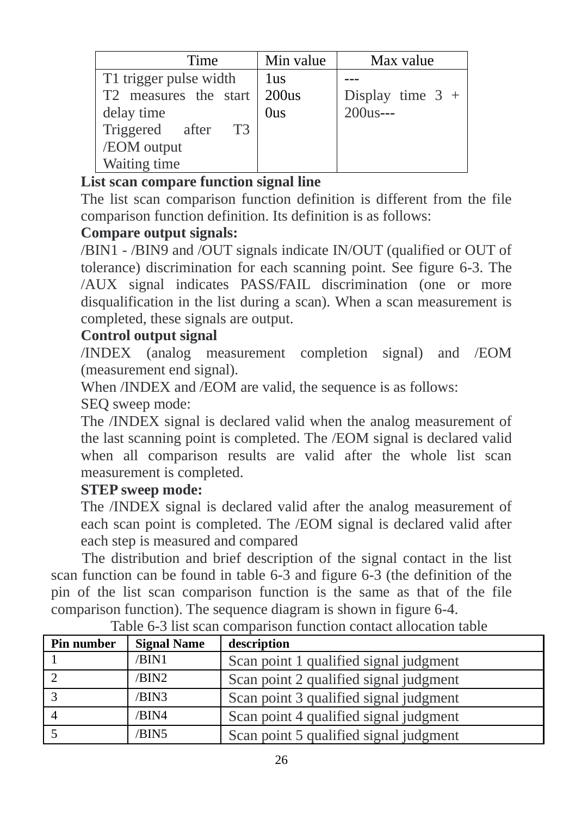| Time                   | Min value | Max value          |
|------------------------|-----------|--------------------|
| T1 trigger pulse width | 1us       |                    |
| T2 measures the start  | 200us     | Display time $3 +$ |
| delay time             | 0us       | $200us--$          |
| Triggered after<br>T3  |           |                    |
| /EOM output            |           |                    |
| Waiting time           |           |                    |

## **List scan compare function signal line**

The list scan comparison function definition is different from the file comparison function definition. Its definition is as follows:

## **Compare output signals:**

/BIN1 - /BIN9 and /OUT signals indicate IN/OUT (qualified or OUT of tolerance) discrimination for each scanning point. See figure 6-3. The /AUX signal indicates PASS/FAIL discrimination (one or more disqualification in the list during a scan). When a scan measurement is completed, these signals are output.

## **Control output signal**

/INDEX (analog measurement completion signal) and /EOM (measurement end signal).

When /INDEX and /EOM are valid, the sequence is as follows:

SEQ sweep mode:

The /INDEX signal is declared valid when the analog measurement of the last scanning point is completed. The /EOM signal is declared valid when all comparison results are valid after the whole list scan measurement is completed.

## **STEP sweep mode:**

The /INDEX signal is declared valid after the analog measurement of each scan point is completed. The /EOM signal is declared valid after each step is measured and compared

The distribution and brief description of the signal contact in the list scan function can be found in table 6-3 and figure 6-3 (the definition of the pin of the list scan comparison function is the same as that of the file comparison function). The sequence diagram is shown in figure 6-4.

| Pin number     | <b>Signal Name</b> | description                            |
|----------------|--------------------|----------------------------------------|
|                | /BIN1              | Scan point 1 qualified signal judgment |
|                | /BIN2              | Scan point 2 qualified signal judgment |
| 3              | /BIN3              | Scan point 3 qualified signal judgment |
| $\overline{4}$ | /BIN4              | Scan point 4 qualified signal judgment |
|                | /BIN5              | Scan point 5 qualified signal judgment |

Table 6-3 list scan comparison function contact allocation table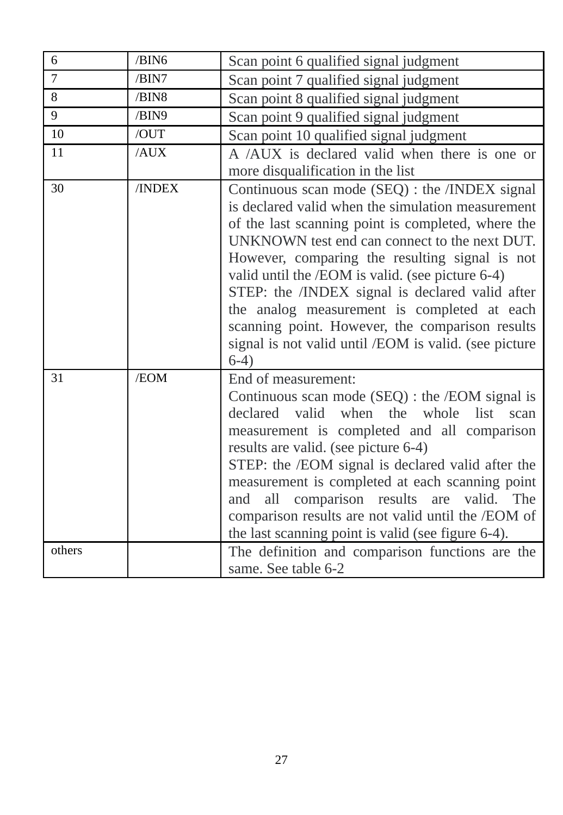| 6              | /BIN6  | Scan point 6 qualified signal judgment                                                                                                                                                                                                                                                                                                                                                                                                                                                                                                   |
|----------------|--------|------------------------------------------------------------------------------------------------------------------------------------------------------------------------------------------------------------------------------------------------------------------------------------------------------------------------------------------------------------------------------------------------------------------------------------------------------------------------------------------------------------------------------------------|
| $\overline{7}$ | /BIN7  | Scan point 7 qualified signal judgment                                                                                                                                                                                                                                                                                                                                                                                                                                                                                                   |
| 8              | /BIN8  | Scan point 8 qualified signal judgment                                                                                                                                                                                                                                                                                                                                                                                                                                                                                                   |
| 9              | /BIN9  | Scan point 9 qualified signal judgment                                                                                                                                                                                                                                                                                                                                                                                                                                                                                                   |
| 10             | /OUT   | Scan point 10 qualified signal judgment                                                                                                                                                                                                                                                                                                                                                                                                                                                                                                  |
| 11             | /AUX   | A /AUX is declared valid when there is one or                                                                                                                                                                                                                                                                                                                                                                                                                                                                                            |
|                |        | more disqualification in the list                                                                                                                                                                                                                                                                                                                                                                                                                                                                                                        |
| 30             | /INDEX | Continuous scan mode (SEQ) : the /INDEX signal<br>is declared valid when the simulation measurement<br>of the last scanning point is completed, where the<br>UNKNOWN test end can connect to the next DUT.<br>However, comparing the resulting signal is not<br>valid until the /EOM is valid. (see picture 6-4)<br>STEP: the /INDEX signal is declared valid after<br>the analog measurement is completed at each<br>scanning point. However, the comparison results<br>signal is not valid until /EOM is valid. (see picture<br>$6-4)$ |
| 31             | /EOM   | End of measurement:<br>Continuous scan mode (SEQ) : the /EOM signal is<br>declared<br>valid<br>when the<br>whole<br>list<br>scan<br>measurement is completed and all comparison<br>results are valid. (see picture 6-4)<br>STEP: the /EOM signal is declared valid after the<br>measurement is completed at each scanning point<br>all comparison results are<br>valid.<br>The<br>and<br>comparison results are not valid until the /EOM of<br>the last scanning point is valid (see figure 6-4).                                        |
| others         |        | The definition and comparison functions are the<br>same. See table 6-2                                                                                                                                                                                                                                                                                                                                                                                                                                                                   |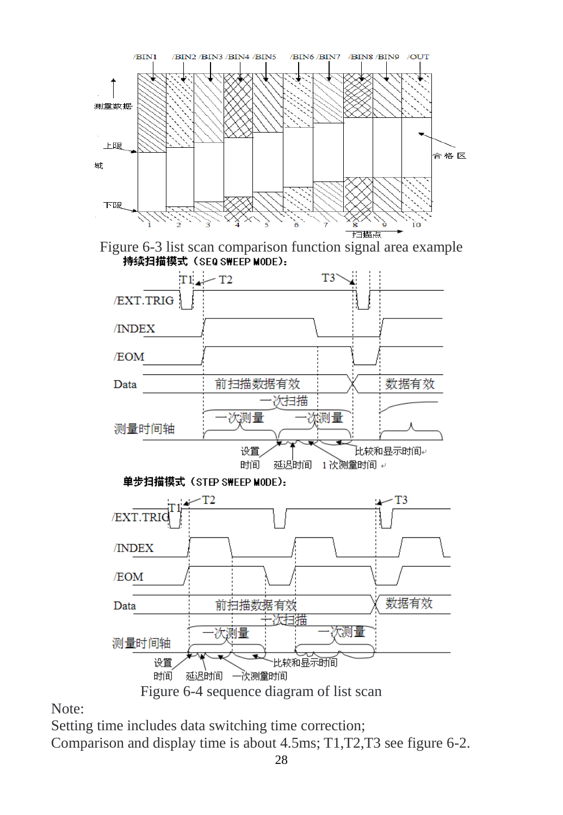

Figure 6-3 list scan comparison function signal area example<br>特续扫描模式 (SEQ SWEEP MODE):



Note:

Setting time includes data switching time correction; Comparison and display time is about 4.5ms; T1,T2,T3 see figure 6-2.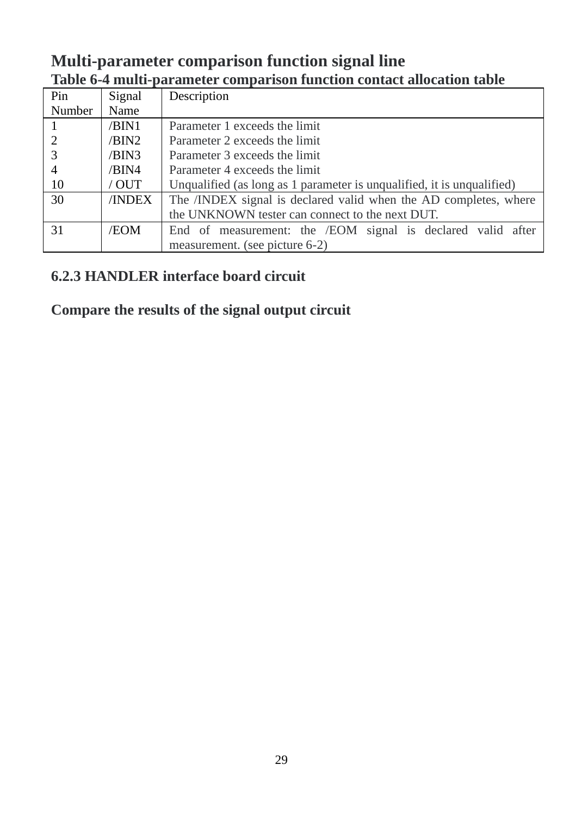## **Multi-parameter comparison function signal line Table 6-4 multi-parameter comparison function contact allocation table**

| Pin            | Signal | Description                                                            |
|----------------|--------|------------------------------------------------------------------------|
| Number         | Name   |                                                                        |
|                | /BIN1  | Parameter 1 exceeds the limit                                          |
| 2              | /BIN2  | Parameter 2 exceeds the limit                                          |
| 3              | /BIN3  | Parameter 3 exceeds the limit                                          |
| $\overline{4}$ | /BIN4  | Parameter 4 exceeds the limit                                          |
| -10            | / OUT  | Unqualified (as long as 1 parameter is unqualified, it is unqualified) |
| 30             | /INDEX | The /INDEX signal is declared valid when the AD completes, where       |
|                |        | the UNKNOWN tester can connect to the next DUT.                        |
| 31             | /EOM   | End of measurement: the /EOM signal is declared valid after            |
|                |        | measurement. (see picture 6-2)                                         |

## **6.2.3 HANDLER interface board circuit**

## **Compare the results of the signal output circuit**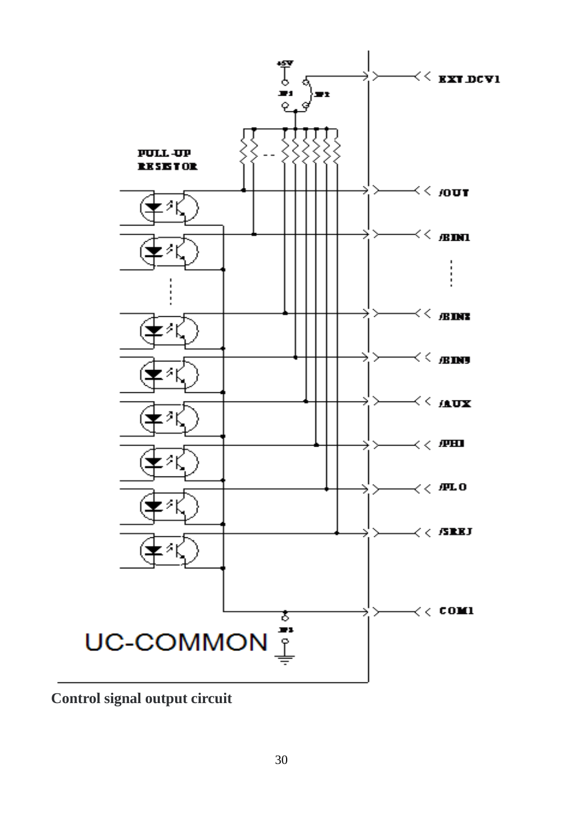

**Control signal output circuit**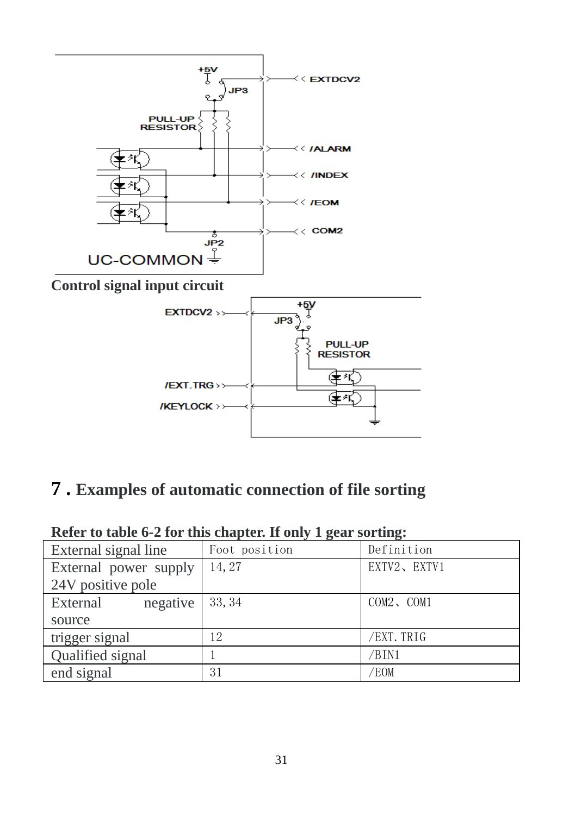

# <span id="page-30-0"></span>**7 . Examples of automatic connection of file sorting**

| External signal line  | Foot position | Definition  |  |  |  |  |
|-----------------------|---------------|-------------|--|--|--|--|
| External power supply | 14, 27        | EXTV2、EXTV1 |  |  |  |  |
| 24V positive pole     |               |             |  |  |  |  |
| negative<br>External  | 33, 34        | COM2, COM1  |  |  |  |  |
| source                |               |             |  |  |  |  |
| trigger signal        | 12            | /EXT. TRIG  |  |  |  |  |
| Qualified signal      |               | /BIN1       |  |  |  |  |
| end signal            | 31            | /EOM        |  |  |  |  |

#### **Refer to table 6-2 for this chapter. If only 1 gear sorting:**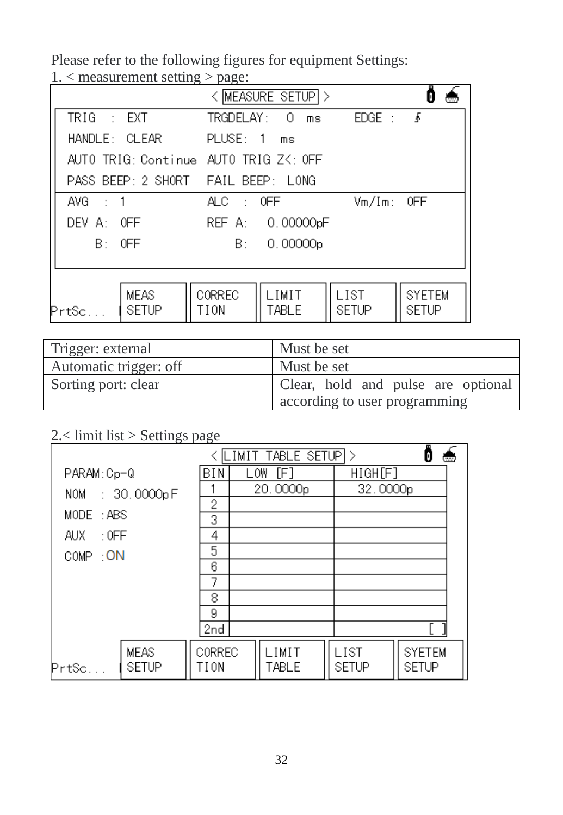Please refer to the following figures for equipment Settings: 1. < measurement setting > page:

| $\ldots$ measurement setting $>$ page. |                        | < MEASURE SETUP > |                       |               |  |
|----------------------------------------|------------------------|-------------------|-----------------------|---------------|--|
| $TRIG \rightarrow EXT$                 | TRGDELAY: 0            | ms                | $EDGE: \quad \bullet$ |               |  |
| HANDLE: CLEAR                          | PLUSE: 1 ms            |                   |                       |               |  |
| AUTO TRIG: Continue AUTO TRIG ZK: OFF  |                        |                   |                       |               |  |
| PASS BEEP: 2 SHORT FAIL BEEP: LONG     |                        |                   |                       |               |  |
| AVG : 1                                | $ALC \rightarrow$ OFF. |                   | $Vm/Im:$ OFF          |               |  |
| DEV A: OFF                             |                        | REF A: 0.00000pF  |                       |               |  |
| $B = 0FF$                              |                        | B: 0.00000p       |                       |               |  |
|                                        |                        |                   |                       |               |  |
| <b>MEAS</b>                            | <b>CORREC</b>          | I IMIT            | L IST                 | <b>SYFTEM</b> |  |
| <b>SETUP</b><br>PrtSc                  | TION                   | TABLE             | SETUP                 | SETUP         |  |

| Trigger: external      | Must be set                                                         |  |  |  |  |
|------------------------|---------------------------------------------------------------------|--|--|--|--|
| Automatic trigger: off | Must be set                                                         |  |  |  |  |
| Sorting port: clear    | Clear, hold and pulse are optional<br>according to user programming |  |  |  |  |

## 2.< limit list > Settings page

|                    |                      | LIMIT TABLE SETUP > |                      |                |                         | m                    |                        |  |
|--------------------|----------------------|---------------------|----------------------|----------------|-------------------------|----------------------|------------------------|--|
| PARAM:Cp-Q         | BIN                  |                     | [F]<br>LOW           |                | $\overline{H}$ GH $[F]$ |                      |                        |  |
| NOM : 30.0000pF    |                      |                     | 20.0000 <sub>p</sub> |                | 32.0000 <sub>p</sub>    |                      |                        |  |
| MODE: ABS          | 2                    |                     |                      |                |                         |                      |                        |  |
|                    | 3                    |                     |                      |                |                         |                      |                        |  |
| $\pm 0$ FF<br>AUX. |                      | 4<br>5              |                      |                |                         |                      |                        |  |
| COMP : ON          | 6                    |                     |                      |                |                         |                      |                        |  |
|                    |                      |                     |                      |                |                         |                      |                        |  |
|                    | 8                    |                     |                      |                |                         |                      |                        |  |
|                    | 9                    |                     |                      |                |                         |                      |                        |  |
|                    | 2nd                  |                     |                      |                |                         |                      |                        |  |
| PrtSc              | <b>MEAS</b><br>SETUP | CORREC<br>TION      |                      | LIMIT<br>TABLE |                         | LIST<br><b>SETUP</b> | <b>SYETEM</b><br>SETUP |  |